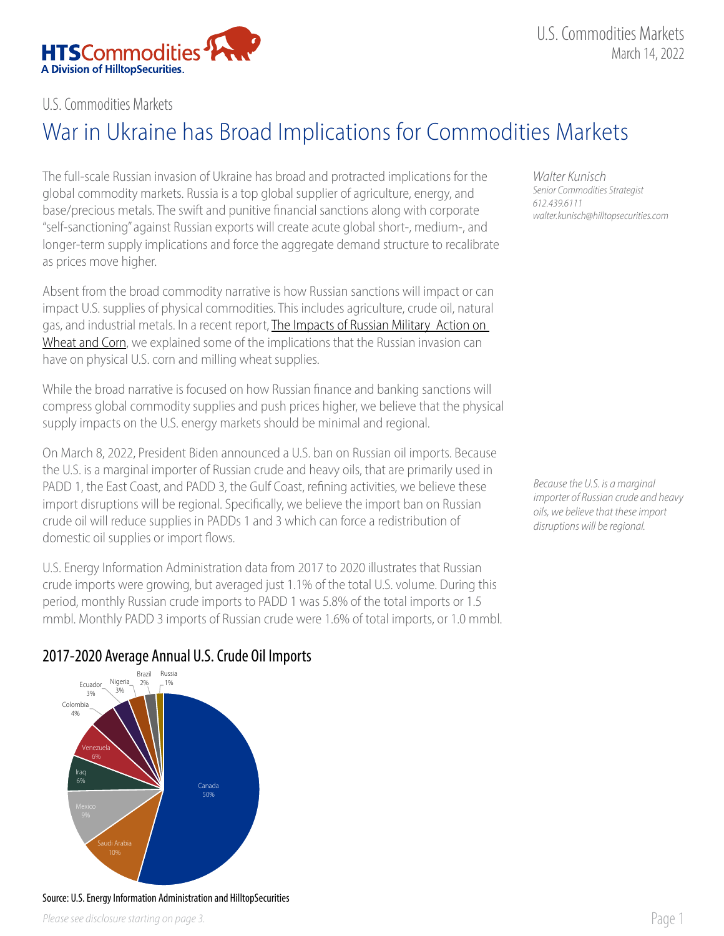

## U.S. Commodities Markets

## War in Ukraine has Broad Implications for Commodities Markets

The full-scale Russian invasion of Ukraine has broad and protracted implications for the global commodity markets. Russia is a top global supplier of agriculture, energy, and base/precious metals. The swift and punitive financial sanctions along with corporate "self-sanctioning" against Russian exports will create acute global short-, medium-, and longer-term supply implications and force the aggregate demand structure to recalibrate as prices move higher.

Absent from the broad commodity narrative is how Russian sanctions will impact or can impact U.S. supplies of physical commodities. This includes agriculture, crude oil, natural gas, and industrial metals. In a recent report, The Impacts of Russian Military Action on [Wheat and Corn,](https://www.hilltopsecurities.com/insight/impacts-of-russian-military-activity-on-wheat-and-corn/) we explained some of the implications that the Russian invasion can have on physical U.S. corn and milling wheat supplies.

While the broad narrative is focused on how Russian finance and banking sanctions will compress global commodity supplies and push prices higher, we believe that the physical supply impacts on the U.S. energy markets should be minimal and regional.

On March 8, 2022, President Biden announced a U.S. ban on Russian oil imports. Because the U.S. is a marginal importer of Russian crude and heavy oils, that are primarily used in PADD 1, the East Coast, and PADD 3, the Gulf Coast, refining activities, we believe these import disruptions will be regional. Specifically, we believe the import ban on Russian crude oil will reduce supplies in PADDs 1 and 3 which can force a redistribution of domestic oil supplies or import flows.

U.S. Energy Information Administration data from 2017 to 2020 illustrates that Russian crude imports were growing, but averaged just 1.1% of the total U.S. volume. During this period, monthly Russian crude imports to PADD 1 was 5.8% of the total imports or 1.5 mmbl. Monthly PADD 3 imports of Russian crude were 1.6% of total imports, or 1.0 mmbl. *Walter Kunisch Senior Commodities Strategist 612.439.6111 walter.kunisch@hilltopsecurities.com*

*Because the U.S. is a marginal importer of Russian crude and heavy oils, we believe that these import disruptions will be regional.* 





## Source: U.S. Energy Information Administration and HilltopSecurities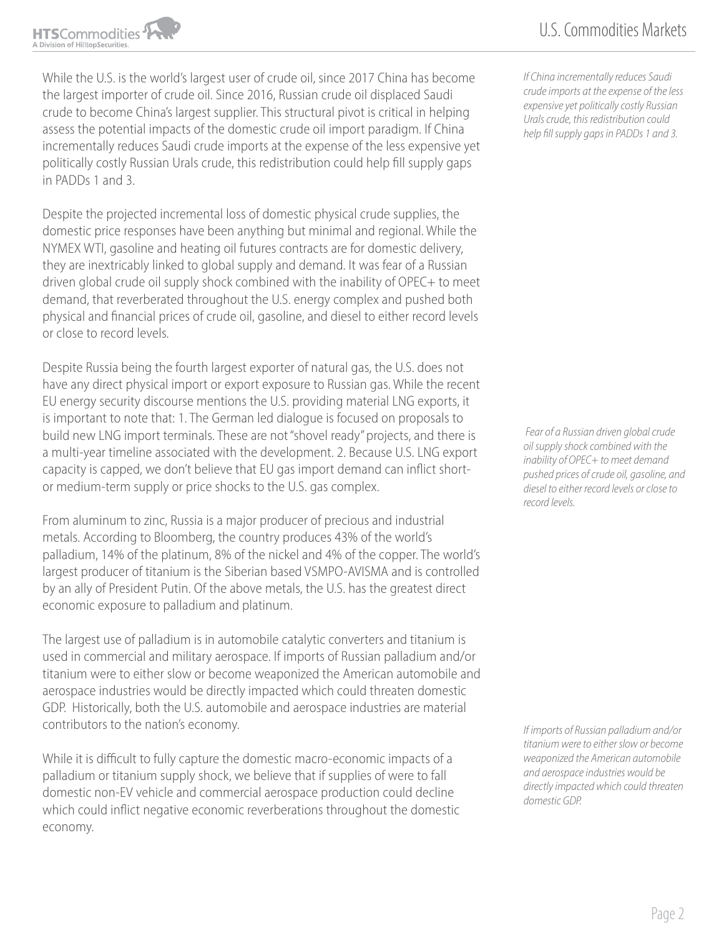While the U.S. is the world's largest user of crude oil, since 2017 China has become the largest importer of crude oil. Since 2016, Russian crude oil displaced Saudi crude to become China's largest supplier. This structural pivot is critical in helping assess the potential impacts of the domestic crude oil import paradigm. If China incrementally reduces Saudi crude imports at the expense of the less expensive yet politically costly Russian Urals crude, this redistribution could help fill supply gaps in PADDs 1 and 3.

Despite the projected incremental loss of domestic physical crude supplies, the domestic price responses have been anything but minimal and regional. While the NYMEX WTI, gasoline and heating oil futures contracts are for domestic delivery, they are inextricably linked to global supply and demand. It was fear of a Russian driven global crude oil supply shock combined with the inability of OPEC+ to meet demand, that reverberated throughout the U.S. energy complex and pushed both physical and financial prices of crude oil, gasoline, and diesel to either record levels or close to record levels.

Despite Russia being the fourth largest exporter of natural gas, the U.S. does not have any direct physical import or export exposure to Russian gas. While the recent EU energy security discourse mentions the U.S. providing material LNG exports, it is important to note that: 1. The German led dialogue is focused on proposals to build new LNG import terminals. These are not "shovel ready" projects, and there is a multi-year timeline associated with the development. 2. Because U.S. LNG export capacity is capped, we don't believe that EU gas import demand can inflict shortor medium-term supply or price shocks to the U.S. gas complex.

From aluminum to zinc, Russia is a major producer of precious and industrial metals. According to Bloomberg, the country produces 43% of the world's palladium, 14% of the platinum, 8% of the nickel and 4% of the copper. The world's largest producer of titanium is the Siberian based VSMPO-AVISMA and is controlled by an ally of President Putin. Of the above metals, the U.S. has the greatest direct economic exposure to palladium and platinum.

The largest use of palladium is in automobile catalytic converters and titanium is used in commercial and military aerospace. If imports of Russian palladium and/or titanium were to either slow or become weaponized the American automobile and aerospace industries would be directly impacted which could threaten domestic GDP. Historically, both the U.S. automobile and aerospace industries are material contributors to the nation's economy.

While it is difficult to fully capture the domestic macro-economic impacts of a palladium or titanium supply shock, we believe that if supplies of were to fall domestic non-EV vehicle and commercial aerospace production could decline which could inflict negative economic reverberations throughout the domestic economy.

*If China incrementally reduces Saudi crude imports at the expense of the less expensive yet politically costly Russian Urals crude, this redistribution could help fill supply gaps in PADDs 1 and 3.*

 *Fear of a Russian driven global crude oil supply shock combined with the inability of OPEC+ to meet demand pushed prices of crude oil, gasoline, and diesel to either record levels or close to record levels.* 

*If imports of Russian palladium and/or titanium were to either slow or become weaponized the American automobile and aerospace industries would be directly impacted which could threaten domestic GDP.*